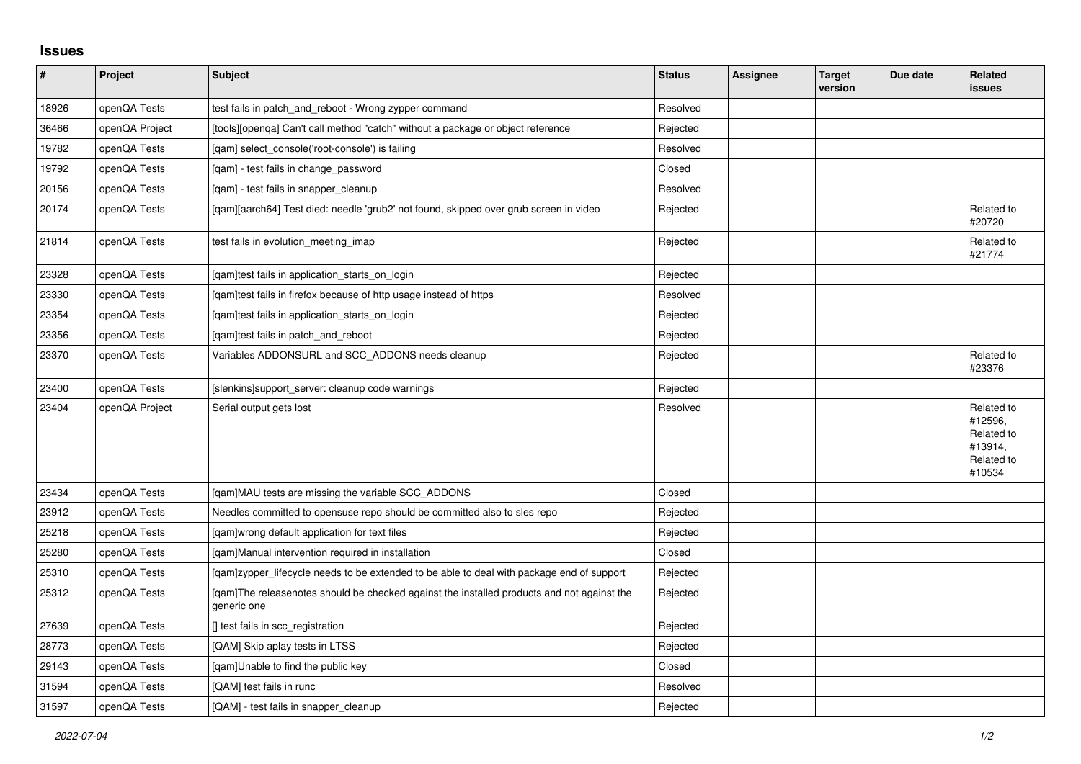## **Issues**

| $\sharp$ | Project        | <b>Subject</b>                                                                                            | <b>Status</b> | Assignee | <b>Target</b><br>version | Due date | Related<br>issues                                                      |
|----------|----------------|-----------------------------------------------------------------------------------------------------------|---------------|----------|--------------------------|----------|------------------------------------------------------------------------|
| 18926    | openQA Tests   | test fails in patch_and_reboot - Wrong zypper command                                                     | Resolved      |          |                          |          |                                                                        |
| 36466    | openQA Project | [tools][openqa] Can't call method "catch" without a package or object reference                           | Rejected      |          |                          |          |                                                                        |
| 19782    | openQA Tests   | [qam] select_console('root-console') is failing                                                           | Resolved      |          |                          |          |                                                                        |
| 19792    | openQA Tests   | [qam] - test fails in change_password                                                                     | Closed        |          |                          |          |                                                                        |
| 20156    | openQA Tests   | [qam] - test fails in snapper_cleanup                                                                     | Resolved      |          |                          |          |                                                                        |
| 20174    | openQA Tests   | [qam][aarch64] Test died: needle 'grub2' not found, skipped over grub screen in video                     | Rejected      |          |                          |          | Related to<br>#20720                                                   |
| 21814    | openQA Tests   | test fails in evolution meeting imap                                                                      | Rejected      |          |                          |          | Related to<br>#21774                                                   |
| 23328    | openQA Tests   | [qam]test fails in application_starts_on_login                                                            | Rejected      |          |                          |          |                                                                        |
| 23330    | openQA Tests   | [qam]test fails in firefox because of http usage instead of https                                         | Resolved      |          |                          |          |                                                                        |
| 23354    | openQA Tests   | [qam]test fails in application_starts_on_login                                                            | Rejected      |          |                          |          |                                                                        |
| 23356    | openQA Tests   | [qam]test fails in patch_and_reboot                                                                       | Rejected      |          |                          |          |                                                                        |
| 23370    | openQA Tests   | Variables ADDONSURL and SCC_ADDONS needs cleanup                                                          | Rejected      |          |                          |          | Related to<br>#23376                                                   |
| 23400    | openQA Tests   | [slenkins]support_server: cleanup code warnings                                                           | Rejected      |          |                          |          |                                                                        |
| 23404    | openQA Project | Serial output gets lost                                                                                   | Resolved      |          |                          |          | Related to<br>#12596,<br>Related to<br>#13914,<br>Related to<br>#10534 |
| 23434    | openQA Tests   | [qam]MAU tests are missing the variable SCC_ADDONS                                                        | Closed        |          |                          |          |                                                                        |
| 23912    | openQA Tests   | Needles committed to opensuse repo should be committed also to sles repo                                  | Rejected      |          |                          |          |                                                                        |
| 25218    | openQA Tests   | [qam]wrong default application for text files                                                             | Rejected      |          |                          |          |                                                                        |
| 25280    | openQA Tests   | [gam]Manual intervention required in installation                                                         | Closed        |          |                          |          |                                                                        |
| 25310    | openQA Tests   | [qam]zypper_lifecycle needs to be extended to be able to deal with package end of support                 | Rejected      |          |                          |          |                                                                        |
| 25312    | openQA Tests   | [gam]The releasenotes should be checked against the installed products and not against the<br>generic one | Rejected      |          |                          |          |                                                                        |
| 27639    | openQA Tests   | [] test fails in scc_registration                                                                         | Rejected      |          |                          |          |                                                                        |
| 28773    | openQA Tests   | [QAM] Skip aplay tests in LTSS                                                                            | Rejected      |          |                          |          |                                                                        |
| 29143    | openQA Tests   | [gam]Unable to find the public key                                                                        | Closed        |          |                          |          |                                                                        |
| 31594    | openQA Tests   | [QAM] test fails in runc                                                                                  | Resolved      |          |                          |          |                                                                        |
| 31597    | openQA Tests   | [QAM] - test fails in snapper_cleanup                                                                     | Rejected      |          |                          |          |                                                                        |